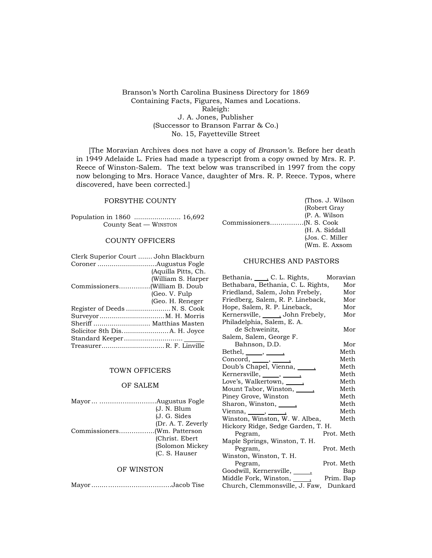Branson's North Carolina Business Directory for 1869 Containing Facts, Figures, Names and Locations. Raleigh: J. A. Jones, Publisher (Successor to Branson Farrar & Co.) No. 15, Fayetteville Street

[The Moravian Archives does not have a copy of *Branson's*. Before her death in 1949 Adelaide L. Fries had made a typescript from a copy owned by Mrs. R. P. Reece of Winston-Salem. The text below was transcribed in 1997 from the copy now belonging to Mrs. Horace Vance, daughter of Mrs. R. P. Reece. Typos, where discovered, have been corrected.]

### FORSYTHE COUNTY

Population in 1860 ....................... 16,692 County Seat — WINSTON

# COUNTY OFFICERS

| Clerk Superior Court  John Blackburn |                     |
|--------------------------------------|---------------------|
|                                      |                     |
|                                      | (Aquilla Pitts, Ch. |
|                                      | (William S. Harper  |
|                                      |                     |
|                                      | (Geo. V. Fulp)      |
|                                      | (Geo. H. Reneger    |
| Register of Deeds  N. S. Cook        |                     |
|                                      |                     |
| Sheriff  Matthias Masten             |                     |
|                                      |                     |
|                                      |                     |
| TreasurerR. F. Linville              |                     |

### TOWN OFFICERS

### OF SALEM

| (J. N. Blum        |
|--------------------|
| (J. G. Sides       |
| (Dr. A. T. Zeverly |
|                    |
| (Christ. Ebert)    |
| (Solomon Mickey    |
| (C. S. Hauser      |
|                    |

# OF WINSTON

Mayor ........…………………………Jacob Tise

|  | (Thos. J. Wilson) |
|--|-------------------|
|  | (Robert Gray      |
|  | (P. A. Wilson)    |
|  |                   |
|  | (H. A. Siddall    |
|  | (Jos. C. Miller   |
|  | (Wm. E. Axsom     |

## CHURCHES AND PASTORS

| Bethania, C. L. Rights,             | Moravian   |
|-------------------------------------|------------|
| Bethabara, Bethania, C. L. Rights,  | Mor        |
| Friedland, Salem, John Frebely,     | Mor        |
| Friedberg, Salem, R. P. Lineback,   | Mor        |
| Hope, Salem, R. P. Lineback,        | Mor        |
| Kernersville, ______, John Frebely, | Mor        |
| Philadelphia, Salem, E. A.          |            |
| de Schweinitz,                      | Mor        |
| Salem, Salem, George F.             |            |
| Bahnson, D.D.                       | Mor        |
| Bethel, $\_\_\_\,,\_\_\_\_\$        | Meth       |
| $Concord, \_\_\_\_$                 | Meth       |
| Doub's Chapel, Vienna, 1888.        | Meth       |
| Kernersville, ______, _______,      | Meth       |
| Love's, Walkertown, <u>_____</u>    | Meth       |
| Mount Tabor, Winston, <u>_____</u>  | Meth       |
| Piney Grove, Winston                | Meth       |
| Sharon, Winston, Sharon,            | Meth       |
| Vienna, $\_\_\_\,,\_\_\_\_\$        | Meth       |
| Winston, Winston, W. W. Albea,      | Meth       |
| Hickory Ridge, Sedge Garden, T. H.  |            |
| Pegram,                             | Prot. Meth |
| Maple Springs, Winston, T. H.       |            |
| Pegram,                             | Prot. Meth |
| Winston, Winston, T. H.             |            |
| Pegram,                             | Prot. Meth |
| Goodwill, Kernersville, ______      | Bap        |
| Middle Fork, Winston, ______        | Prim. Bap  |
| Church, Clemmonsville, J. Faw,      | Dunkard    |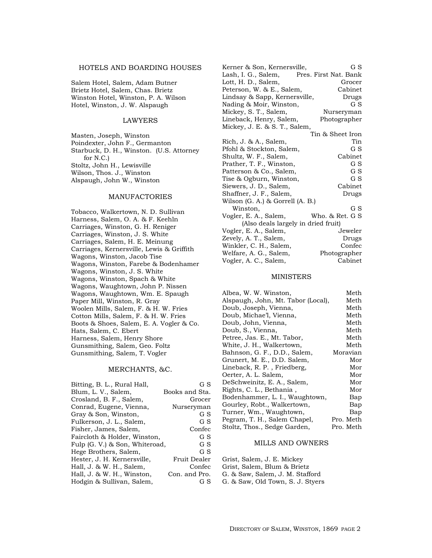## HOTELS AND BOARDING HOUSES

Salem Hotel, Salem, Adam Butner Brietz Hotel, Salem, Chas. Brietz Winston Hotel, Winston, P. A. Wilson Hotel, Winston, J. W. Alspaugh

### LAWYERS

Masten, Joseph, Winston Poindexter, John F., Germanton Starbuck, D. H., Winston. (U.S. Attorney for N.C.) Stoltz, John H., Lewisville Wilson, Thos. J., Winston Alspaugh, John W., Winston

### MANUFACTORIES

Tobacco, Walkertown, N. D. Sullivan Harness, Salem, O. A. & F. Keehln Carriages, Winston, G. H. Reniger Carriages, Winston, J. S. White Carriages, Salem, H. E. Meinung Carriages, Kernersville, Lewis & Griffith Wagons, Winston, Jacob Tise Wagons, Winston, Farebe & Bodenhamer Wagons, Winston, J. S. White Wagons, Winston, Spach & White Wagons, Waughtown, John P. Nissen Wagons, Waughtown, Wm. E. Spaugh Paper Mill, Winston, R. Gray Woolen Mills, Salem, F. & H. W. Fries Cotton Mills, Salem, F. & H. W. Fries Boots & Shoes, Salem, E. A. Vogler & Co. Hats, Salem, C. Ebert Harness, Salem, Henry Shore Gunsmithing, Salem, Geo. Foltz Gunsmithing, Salem, T. Vogler

### MERCHANTS, &C.

| Bitting, B. L., Rural Hall,    | G S            |
|--------------------------------|----------------|
| Blum, L. V., Salem,            | Books and Sta. |
| Crosland, B. F., Salem,        | Grocer         |
| Conrad, Eugene, Vienna,        | Nurseryman     |
| Gray & Son, Winston,           | G S            |
| Fulkerson, J. L., Salem,       | G S            |
| Fisher, James, Salem,          | Confec         |
| Faircloth & Holder, Winston,   | G S            |
| Fulp (G. V.) & Son, Whiteroad, | G S            |
| Hege Brothers, Salem,          | G S            |
| Hester, J. H. Kernersville,    | Fruit Dealer   |
| Hall, J. & W. H., Salem,       | Confec         |
| Hall, J. & W. H., Winston,     | Con. and Pro.  |
| Hodgin & Sullivan, Salem,      | G S            |

| Kerner & Son, Kernersville,         | G S                   |
|-------------------------------------|-----------------------|
| Lash, I. G., Salem,                 | Pres. First Nat. Bank |
| Lott, H. D., Salem,                 | Grocer                |
| Peterson, W. & E., Salem,           | Cabinet               |
| Lindsay & Sapp, Kernersville,       | Drugs                 |
| Nading & Moir, Winston,             | G S                   |
| Mickey, S. T., Salem,               | Nurseryman            |
| Lineback, Henry, Salem,             | Photographer          |
| Mickey, J. E. & S. T., Salem,       |                       |
|                                     | Tin & Sheet Iron      |
| Rich, J. & A., Salem,               | Tin                   |
| Pfohl & Stockton, Salem,            | G S                   |
| Shultz, W. F., Salem,               | Cabinet               |
| Prather, T. F., Winston,            | G S                   |
| Patterson & Co., Salem,             | G S                   |
| Tise & Ogburn, Winston,             | G S                   |
| Siewers, J. D., Salem,              | Cabinet               |
| Shaffner, J. F., Salem,             | Drugs                 |
| Wilson (G. A.) & Gorrell (A. B.)    |                       |
| Winston,                            | G S                   |
| Vogler, E. A., Salem,               | Who. & Ret. G S       |
| (Also deals largely in dried fruit) |                       |
| Vogler, E. A., Salem,               | Jeweler               |
| Zevely, A. T., Salem,               | Drugs                 |
| Winkler, C. H., Salem,              | Confec                |
| Welfare, A. G., Salem,              | Photographer          |
| Vogler, A. C., Salem,               | Cabinet               |

#### MINISTERS

| Albea, W. W. Winston,              | Meth      |
|------------------------------------|-----------|
| Alspaugh, John, Mt. Tabor (Local), | Meth      |
| Doub, Joseph, Vienna,              | Meth      |
| Doub, Michae'l, Vienna,            | Meth      |
| Doub, John, Vienna,                | Meth      |
| Doub, S., Vienna,                  | Meth      |
| Petree, Jas. E., Mt. Tabor,        | Meth      |
| White, J. H., Walkertown,          | Meth      |
| Bahnson, G. F., D.D., Salem,       | Moravian  |
| Grunert, M. E., D.D. Salem,        | Mor       |
| Lineback, R. P., Friedberg,        | Mor       |
| Oerter, A. L. Salem,               | Mor       |
| DeSchweinitz, E. A., Salem,        | Mor       |
| Rights, C. L., Bethania,           | Mor       |
| Bodenhammer, L. I., Waughtown,     | Bap       |
| Gourley, Robt., Walkertown,        | Bap       |
| Turner, Wm., Waughtown,            | Bap       |
| Pegram, T. H., Salem Chapel,       | Pro. Meth |
| Stoltz, Thos., Sedge Garden,       | Pro. Meth |
|                                    |           |

## MILLS AND OWNERS

Grist, Salem, J. E. Mickey Grist, Salem, Blum & Brietz G. & Saw, Salem, J. M. Stafford G. & Saw, Old Town, S. J. Styers